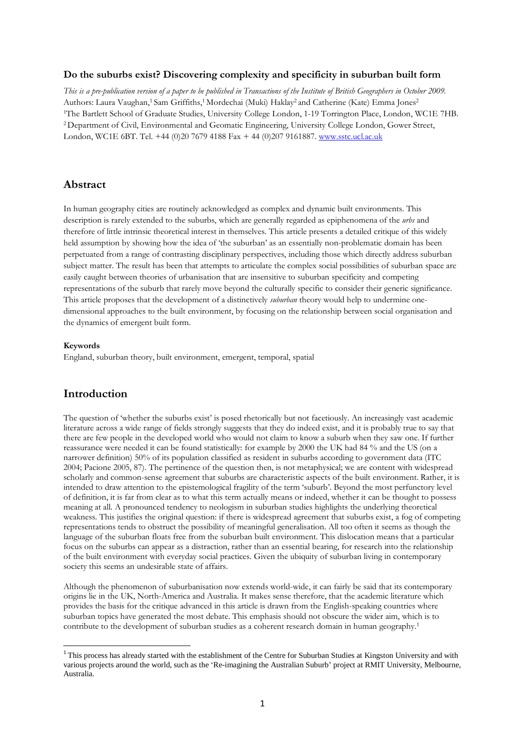#### **Do the suburbs exist? Discovering complexity and specificity in suburban built form**

*This is a pre-publication version of a paper to be published in Transactions of the Institute of British Geographers in October 2009.* Authors: Laura Vaughan,<sup>1</sup> Sam Griffiths,<sup>1</sup> Mordechai (Muki) Haklay<sup>2</sup> and Catherine (Kate) Emma Jones<sup>2</sup> 1The Bartlett School of Graduate Studies, University College London, 1-19 Torrington Place, London, WC1E 7HB. 2 Department of Civil, Environmental and Geomatic Engineering, University College London, Gower Street, London, WC1E 6BT. Tel. +44 (0)20 7679 4188 Fax + 44 (0)207 9161887. [www.sstc.ucl.ac.uk](http://www.sstc.ucl.ac.uk/)

#### **Abstract**

In human geography cities are routinely acknowledged as complex and dynamic built environments. This description is rarely extended to the suburbs, which are generally regarded as epiphenomena of the *urbs* and therefore of little intrinsic theoretical interest in themselves. This article presents a detailed critique of this widely held assumption by showing how the idea of 'the suburban' as an essentially non-problematic domain has been perpetuated from a range of contrasting disciplinary perspectives, including those which directly address suburban subject matter. The result has been that attempts to articulate the complex social possibilities of suburban space are easily caught between theories of urbanisation that are insensitive to suburban specificity and competing representations of the suburb that rarely move beyond the culturally specific to consider their generic significance. This article proposes that the development of a distinctively *suburban* theory would help to undermine onedimensional approaches to the built environment, by focusing on the relationship between social organisation and the dynamics of emergent built form.

#### **Keywords**

.

England, suburban theory, built environment, emergent, temporal, spatial

## **Introduction**

The question of 'whether the suburbs exist' is posed rhetorically but not facetiously. An increasingly vast academic literature across a wide range of fields strongly suggests that they do indeed exist, and it is probably true to say that there are few people in the developed world who would not claim to know a suburb when they saw one. If further reassurance were needed it can be found statistically: for example by 2000 the UK had 84 % and the US (on a narrower definition) 50% of its population classified as resident in suburbs according to government data (ITC 2004; Pacione 2005, 87). The pertinence of the question then, is not metaphysical; we are content with widespread scholarly and common-sense agreement that suburbs are characteristic aspects of the built environment. Rather, it is intended to draw attention to the epistemological fragility of the term 'suburb'. Beyond the most perfunctory level of definition, it is far from clear as to what this term actually means or indeed, whether it can be thought to possess meaning at all. A pronounced tendency to neologism in suburban studies highlights the underlying theoretical weakness. This justifies the original question: if there is widespread agreement that suburbs exist, a fog of competing representations tends to obstruct the possibility of meaningful generalisation. All too often it seems as though the language of the suburban floats free from the suburban built environment. This dislocation means that a particular focus on the suburbs can appear as a distraction, rather than an essential bearing, for research into the relationship of the built environment with everyday social practices. Given the ubiquity of suburban living in contemporary society this seems an undesirable state of affairs.

Although the phenomenon of suburbanisation now extends world-wide, it can fairly be said that its contemporary origins lie in the UK, North-America and Australia. It makes sense therefore, that the academic literature which provides the basis for the critique advanced in this article is drawn from the English-speaking countries where suburban topics have generated the most debate. This emphasis should not obscure the wider aim, which is to contribute to the development of suburban studies as a coherent research domain in human geography.[1](#page-0-0)

<span id="page-0-0"></span><sup>&</sup>lt;sup>1</sup> This process has already started with the establishment of the Centre for Suburban Studies at Kingston University and with various projects around the world, such as the 'Re-imagining the Australian Suburb' project at RMIT University, Melbourne, Australia.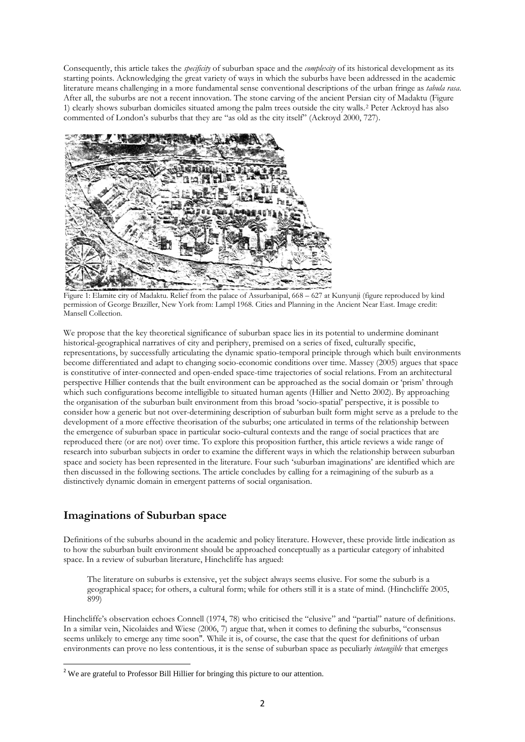Consequently, this article takes the *specificity* of suburban space and the *complexity* of its historical development as its starting points. Acknowledging the great variety of ways in which the suburbs have been addressed in the academic literature means challenging in a more fundamental sense conventional descriptions of the urban fringe as *tabula rasa*. After all, the suburbs are not a recent innovation. The stone carving of the ancient Persian city of Madaktu (Figure 1) clearly shows suburban domiciles situated among the palm trees outside the city walls.[2](#page-1-0) Peter Ackroyd has also commented of London's suburbs that they are "as old as the city itself" (Ackroyd 2000, 727).



Figure 1: Elamite city of Madaktu. Relief from the palace of Assurbanipal, 668 – 627 at Kunyunji (figure reproduced by kind permission of George Braziller, New York from: Lampl 1968. Cities and Planning in the Ancient Near East. Image credit: Mansell Collection.

We propose that the key theoretical significance of suburban space lies in its potential to undermine dominant historical-geographical narratives of city and periphery, premised on a series of fixed, culturally specific, representations, by successfully articulating the dynamic spatio-temporal principle through which built environments become differentiated and adapt to changing socio-economic conditions over time. Massey (2005) argues that space is constitutive of inter-connected and open-ended space-time trajectories of social relations. From an architectural perspective Hillier contends that the built environment can be approached as the social domain or 'prism' through which such configurations become intelligible to situated human agents (Hillier and Netto 2002). By approaching the organisation of the suburban built environment from this broad 'socio-spatial' perspective, it is possible to consider how a generic but not over-determining description of suburban built form might serve as a prelude to the development of a more effective theorisation of the suburbs; one articulated in terms of the relationship between the emergence of suburban space in particular socio-cultural contexts and the range of social practices that are reproduced there (or are not) over time. To explore this proposition further, this article reviews a wide range of research into suburban subjects in order to examine the different ways in which the relationship between suburban space and society has been represented in the literature. Four such 'suburban imaginations' are identified which are then discussed in the following sections. The article concludes by calling for a reimagining of the suburb as a distinctively dynamic domain in emergent patterns of social organisation.

## **Imaginations of Suburban space**

.

Definitions of the suburbs abound in the academic and policy literature. However, these provide little indication as to how the suburban built environment should be approached conceptually as a particular category of inhabited space. In a review of suburban literature, Hinchcliffe has argued:

The literature on suburbs is extensive, yet the subject always seems elusive. For some the suburb is a geographical space; for others, a cultural form; while for others still it is a state of mind. (Hinchcliffe 2005, 899)

Hinchcliffe's observation echoes Connell (1974, 78) who criticised the "elusive" and "partial" nature of definitions. In a similar vein, Nicolaides and Wiese (2006, 7) argue that, when it comes to defining the suburbs, "consensus seems unlikely to emerge any time soon". While it is, of course, the case that the quest for definitions of urban environments can prove no less contentious, it is the sense of suburban space as peculiarly *intangible* that emerges

<span id="page-1-0"></span><sup>&</sup>lt;sup>2</sup> We are grateful to Professor Bill Hillier for bringing this picture to our attention.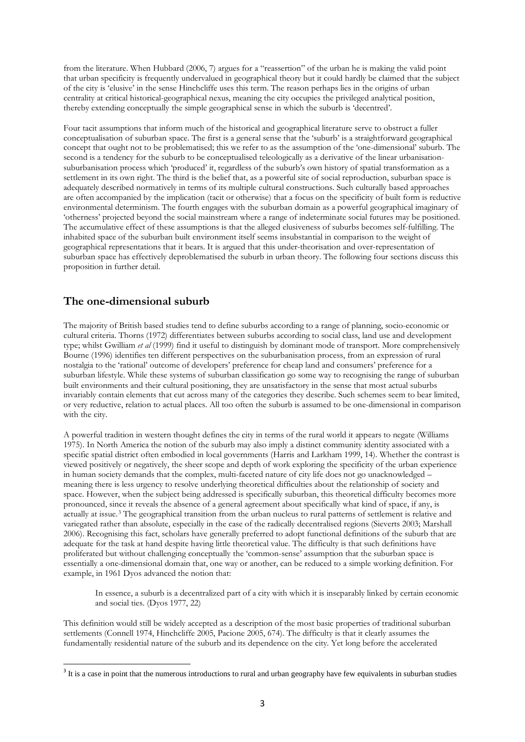from the literature. When Hubbard (2006, 7) argues for a "reassertion" of the urban he is making the valid point that urban specificity is frequently undervalued in geographical theory but it could hardly be claimed that the subject of the city is 'elusive' in the sense Hinchcliffe uses this term. The reason perhaps lies in the origins of urban centrality at critical historical-geographical nexus, meaning the city occupies the privileged analytical position, thereby extending conceptually the simple geographical sense in which the suburb is 'decentred'.

Four tacit assumptions that inform much of the historical and geographical literature serve to obstruct a fuller conceptualisation of suburban space. The first is a general sense that the 'suburb' is a straightforward geographical concept that ought not to be problematised; this we refer to as the assumption of the 'one-dimensional' suburb. The second is a tendency for the suburb to be conceptualised teleologically as a derivative of the linear urbanisationsuburbanisation process which 'produced' it, regardless of the suburb's own history of spatial transformation as a settlement in its own right. The third is the belief that, as a powerful site of social reproduction, suburban space is adequately described normatively in terms of its multiple cultural constructions. Such culturally based approaches are often accompanied by the implication (tacit or otherwise) that a focus on the specificity of built form is reductive environmental determinism. The fourth engages with the suburban domain as a powerful geographical imaginary of 'otherness' projected beyond the social mainstream where a range of indeterminate social futures may be positioned. The accumulative effect of these assumptions is that the alleged elusiveness of suburbs becomes self-fulfilling. The inhabited space of the suburban built environment itself seems insubstantial in comparison to the weight of geographical representations that it bears. It is argued that this under-theorisation and over-representation of suburban space has effectively deproblematised the suburb in urban theory. The following four sections discuss this proposition in further detail.

## **The one-dimensional suburb**

.

The majority of British based studies tend to define suburbs according to a range of planning, socio-economic or cultural criteria. Thorns (1972) differentiates between suburbs according to social class, land use and development type; whilst Gwilliam *et al* (1999) find it useful to distinguish by dominant mode of transport. More comprehensively Bourne (1996) identifies ten different perspectives on the suburbanisation process, from an expression of rural nostalgia to the 'rational' outcome of developers' preference for cheap land and consumers' preference for a suburban lifestyle. While these systems of suburban classification go some way to recognising the range of suburban built environments and their cultural positioning, they are unsatisfactory in the sense that most actual suburbs invariably contain elements that cut across many of the categories they describe. Such schemes seem to bear limited, or very reductive, relation to actual places. All too often the suburb is assumed to be one-dimensional in comparison with the city.

A powerful tradition in western thought defines the city in terms of the rural world it appears to negate (Williams 1975). In North America the notion of the suburb may also imply a distinct community identity associated with a specific spatial district often embodied in local governments (Harris and Larkham 1999, 14). Whether the contrast is viewed positively or negatively, the sheer scope and depth of work exploring the specificity of the urban experience in human society demands that the complex, multi-faceted nature of city life does not go unacknowledged – meaning there is less urgency to resolve underlying theoretical difficulties about the relationship of society and space. However, when the subject being addressed is specifically suburban, this theoretical difficulty becomes more pronounced, since it reveals the absence of a general agreement about specifically what kind of space, if any, is actually at issue.[3](#page-2-0) The geographical transition from the urban nucleus to rural patterns of settlement is relative and variegated rather than absolute, especially in the case of the radically decentralised regions (Sieverts 2003; Marshall 2006). Recognising this fact, scholars have generally preferred to adopt functional definitions of the suburb that are adequate for the task at hand despite having little theoretical value. The difficulty is that such definitions have proliferated but without challenging conceptually the 'common-sense' assumption that the suburban space is essentially a one-dimensional domain that, one way or another, can be reduced to a simple working definition. For example, in 1961 Dyos advanced the notion that:

In essence, a suburb is a decentralized part of a city with which it is inseparably linked by certain economic and social ties. (Dyos 1977, 22)

This definition would still be widely accepted as a description of the most basic properties of traditional suburban settlements (Connell 1974, Hinchcliffe 2005, Pacione 2005, 674). The difficulty is that it clearly assumes the fundamentally residential nature of the suburb and its dependence on the city. Yet long before the accelerated

<span id="page-2-0"></span><sup>&</sup>lt;sup>3</sup> It is a case in point that the numerous introductions to rural and urban geography have few equivalents in suburban studies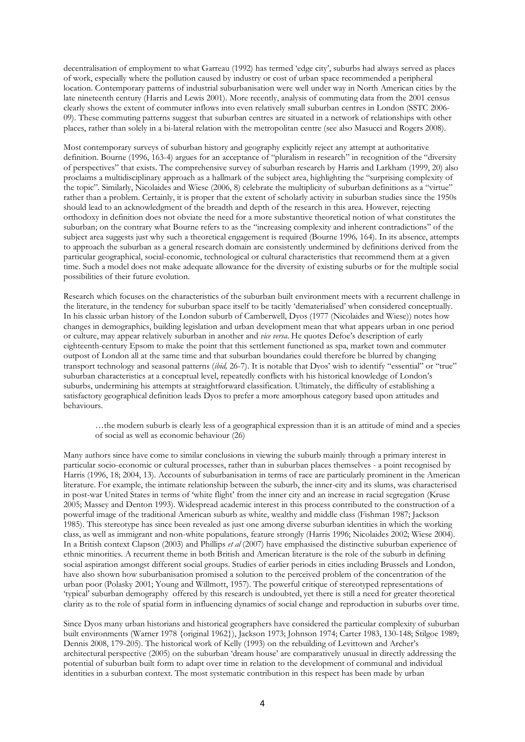decentralisation of employment to what Garreau (1992) has termed 'edge city', suburbs had always served as places of work, especially where the pollution caused by industry or cost of urban space recommended a peripheral location. Contemporary patterns of industrial suburbanisation were well under way in North American cities by the late nineteenth century (Harris and Lewis 2001). More recently, analysis of commuting data from the 2001 census clearly shows the extent of commuter inflows into even relatively small suburban centres in London (SSTC 2006- 09). These commuting patterns suggest that suburban centres are situated in a network of relationships with other places, rather than solely in a bi-lateral relation with the metropolitan centre (see also Masucci and Rogers 2008).

Most contemporary surveys of suburban history and geography explicitly reject any attempt at authoritative definition. Bourne (1996, 163-4) argues for an acceptance of "pluralism in research" in recognition of the "diversity of perspectives" that exists. The comprehensive survey of suburban research by Harris and Larkham (1999, 20) also proclaims a multidisciplinary approach as a hallmark of the subject area, highlighting the "surprising complexity of the topic". Similarly, Nicolaides and Wiese (2006, 8) celebrate the multiplicity of suburban definitions as a "virtue" rather than a problem. Certainly, it is proper that the extent of scholarly activity in suburban studies since the 1950s should lead to an acknowledgment of the breadth and depth of the research in this area. However, rejecting orthodoxy in definition does not obviate the need for a more substantive theoretical notion of what constitutes the suburban; on the contrary what Bourne refers to as the "increasing complexity and inherent contradictions" of the subject area suggests just why such a theoretical engagement is required (Bourne 1996*,* 164). In its absence, attempts to approach the suburban as a general research domain are consistently undermined by definitions derived from the particular geographical, social-economic, technological or cultural characteristics that recommend them at a given time. Such a model does not make adequate allowance for the diversity of existing suburbs or for the multiple social possibilities of their future evolution.

Research which focuses on the characteristics of the suburban built environment meets with a recurrent challenge in the literature, in the tendency for suburban space itself to be tacitly 'dematerialised' when considered conceptually. In his classic urban history of the London suburb of Camberwell, Dyos (1977 (Nicolaides and Wiese)) notes how changes in demographics, building legislation and urban development mean that what appears urban in one period or culture, may appear relatively suburban in another and *vice versa*. He quotes Defoe's description of early eighteenth-century Epsom to make the point that this settlement functioned as spa, market town and commuter outpost of London all at the same time and that suburban boundaries could therefore be blurred by changing transport technology and seasonal patterns (*ibid,* 26-7). It is notable that Dyos' wish to identify "essential" or "true" suburban characteristics at a conceptual level, repeatedly conflicts with his historical knowledge of London's suburbs, undermining his attempts at straightforward classification. Ultimately, the difficulty of establishing a satisfactory geographical definition leads Dyos to prefer a more amorphous category based upon attitudes and behaviours.

…the modern suburb is clearly less of a geographical expression than it is an attitude of mind and a species of social as well as economic behaviour (26)

Many authors since have come to similar conclusions in viewing the suburb mainly through a primary interest in particular socio-economic or cultural processes, rather than in suburban places themselves - a point recognised by Harris (1996, 18; 2004, 13). Accounts of suburbanisation in terms of race are particularly prominent in the American literature. For example, the intimate relationship between the suburb, the inner-city and its slums, was characterised in post-war United States in terms of 'white flight' from the inner city and an increase in racial segregation (Kruse 2005; Massey and Denton 1993). Widespread academic interest in this process contributed to the construction of a powerful image of the traditional American suburb as white, wealthy and middle class (Fishman 1987; Jackson 1985). This stereotype has since been revealed as just one among diverse suburban identities in which the working class, as well as immigrant and non-white populations, feature strongly (Harris 1996; Nicolaides 2002; Wiese 2004). In a British context Clapson (2003) and Phillips *et al* (2007) have emphasised the distinctive suburban experience of ethnic minorities. A recurrent theme in both British and American literature is the role of the suburb in defining social aspiration amongst different social groups. Studies of earlier periods in cities including Brussels and London, have also shown how suburbanisation promised a solution to the perceived problem of the concentration of the urban poor (Polasky 2001; Young and Willmott, 1957). The powerful critique of stereotyped representations of 'typical' suburban demography offered by this research is undoubted, yet there is still a need for greater theoretical clarity as to the role of spatial form in influencing dynamics of social change and reproduction in suburbs over time.

Since Dyos many urban historians and historical geographers have considered the particular complexity of suburban built environments (Warner 1978 {original 1962}), Jackson 1973; Johnson 1974; Carter 1983, 130-148; Stilgoe 1989; Dennis 2008, 179-205). The historical work of Kelly (1993) on the rebuilding of Levittown and Archer's architectural perspective (2005) on the suburban 'dream house' are comparatively unusual in directly addressing the potential of suburban built form to adapt over time in relation to the development of communal and individual identities in a suburban context. The most systematic contribution in this respect has been made by urban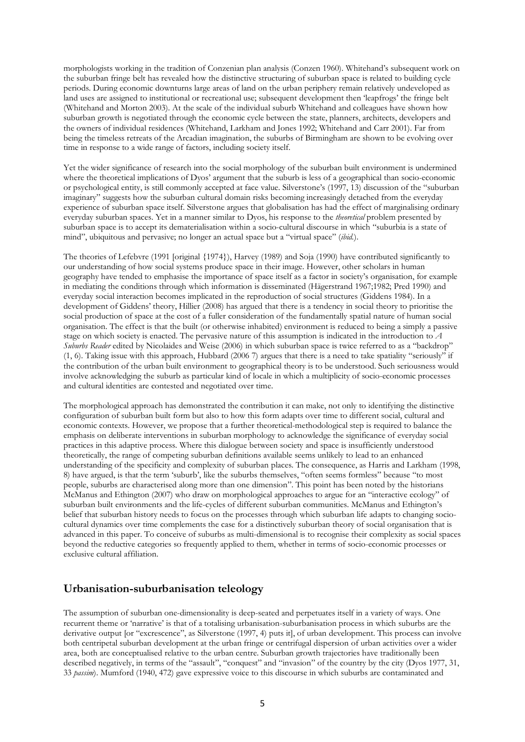morphologists working in the tradition of Conzenian plan analysis (Conzen 1960). Whitehand's subsequent work on the suburban fringe belt has revealed how the distinctive structuring of suburban space is related to building cycle periods. During economic downturns large areas of land on the urban periphery remain relatively undeveloped as land uses are assigned to institutional or recreational use; subsequent development then 'leapfrogs' the fringe belt (Whitehand and Morton 2003). At the scale of the individual suburb Whitehand and colleagues have shown how suburban growth is negotiated through the economic cycle between the state, planners, architects, developers and the owners of individual residences (Whitehand, Larkham and Jones 1992; Whitehand and Carr 2001). Far from being the timeless retreats of the Arcadian imagination, the suburbs of Birmingham are shown to be evolving over time in response to a wide range of factors, including society itself.

Yet the wider significance of research into the social morphology of the suburban built environment is undermined where the theoretical implications of Dyos' argument that the suburb is less of a geographical than socio-economic or psychological entity, is still commonly accepted at face value. Silverstone's (1997, 13) discussion of the "suburban imaginary" suggests how the suburban cultural domain risks becoming increasingly detached from the everyday experience of suburban space itself. Silverstone argues that globalisation has had the effect of marginalising ordinary everyday suburban spaces. Yet in a manner similar to Dyos, his response to the *theoretical* problem presented by suburban space is to accept its dematerialisation within a socio-cultural discourse in which "suburbia is a state of mind", ubiquitous and pervasive; no longer an actual space but a "virtual space" (*ibid.*).

The theories of Lefebvre (1991 [original {1974}), Harvey (1989) and Soja (1990) have contributed significantly to our understanding of how social systems produce space in their image. However, other scholars in human geography have tended to emphasise the importance of space itself as a factor in society's organisation, for example in mediating the conditions through which information is disseminated (Hägerstrand 1967;1982; Pred 1990) and everyday social interaction becomes implicated in the reproduction of social structures (Giddens 1984). In a development of Giddens' theory, Hillier (2008) has argued that there is a tendency in social theory to prioritise the social production of space at the cost of a fuller consideration of the fundamentally spatial nature of human social organisation. The effect is that the built (or otherwise inhabited) environment is reduced to being a simply a passive stage on which society is enacted. The pervasive nature of this assumption is indicated in the introduction to *A Suburbs Reader* edited by Nicolaides and Weise (2006) in which suburban space is twice referred to as a "backdrop" (1, 6). Taking issue with this approach, Hubbard (2006 7) argues that there is a need to take spatiality "seriously" if the contribution of the urban built environment to geographical theory is to be understood. Such seriousness would involve acknowledging the suburb as particular kind of locale in which a multiplicity of socio-economic processes and cultural identities are contested and negotiated over time.

The morphological approach has demonstrated the contribution it can make, not only to identifying the distinctive configuration of suburban built form but also to how this form adapts over time to different social, cultural and economic contexts. However, we propose that a further theoretical-methodological step is required to balance the emphasis on deliberate interventions in suburban morphology to acknowledge the significance of everyday social practices in this adaptive process. Where this dialogue between society and space is insufficiently understood theoretically, the range of competing suburban definitions available seems unlikely to lead to an enhanced understanding of the specificity and complexity of suburban places. The consequence, as Harris and Larkham (1998, 8) have argued, is that the term 'suburb', like the suburbs themselves, "often seems formless" because "to most people, suburbs are characterised along more than one dimension". This point has been noted by the historians McManus and Ethington (2007) who draw on morphological approaches to argue for an "interactive ecology" of suburban built environments and the life-cycles of different suburban communities. McManus and Ethington's belief that suburban history needs to focus on the processes through which suburban life adapts to changing sociocultural dynamics over time complements the case for a distinctively suburban theory of social organisation that is advanced in this paper. To conceive of suburbs as multi-dimensional is to recognise their complexity as social spaces beyond the reductive categories so frequently applied to them, whether in terms of socio-economic processes or exclusive cultural affiliation.

## **Urbanisation-suburbanisation teleology**

The assumption of suburban one-dimensionality is deep-seated and perpetuates itself in a variety of ways. One recurrent theme or 'narrative' is that of a totalising urbanisation-suburbanisation process in which suburbs are the derivative output [or "excrescence", as Silverstone (1997, 4) puts it], of urban development. This process can involve both centripetal suburban development at the urban fringe or centrifugal dispersion of urban activities over a wider area, both are conceptualised relative to the urban centre. Suburban growth trajectories have traditionally been described negatively, in terms of the "assault", "conquest" and "invasion" of the country by the city (Dyos 1977, 31, 33 *passim*). Mumford (1940, 472) gave expressive voice to this discourse in which suburbs are contaminated and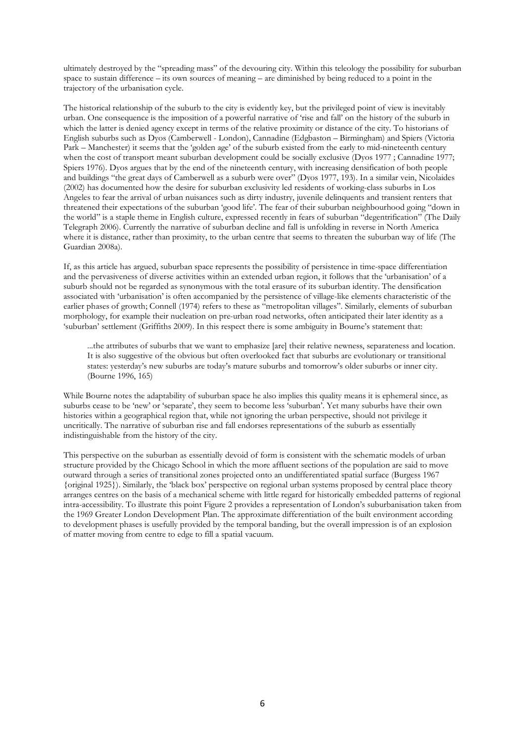ultimately destroyed by the "spreading mass" of the devouring city. Within this teleology the possibility for suburban space to sustain difference – its own sources of meaning – are diminished by being reduced to a point in the trajectory of the urbanisation cycle.

The historical relationship of the suburb to the city is evidently key, but the privileged point of view is inevitably urban. One consequence is the imposition of a powerful narrative of 'rise and fall' on the history of the suburb in which the latter is denied agency except in terms of the relative proximity or distance of the city. To historians of English suburbs such as Dyos (Camberwell - London), Cannadine (Edgbaston – Birmingham) and Spiers (Victoria Park – Manchester) it seems that the 'golden age' of the suburb existed from the early to mid-nineteenth century when the cost of transport meant suburban development could be socially exclusive (Dyos 1977 ; Cannadine 1977; Spiers 1976). Dyos argues that by the end of the nineteenth century, with increasing densification of both people and buildings "the great days of Camberwell as a suburb were over" (Dyos 1977, 193). In a similar vein, Nicolaides (2002) has documented how the desire for suburban exclusivity led residents of working-class suburbs in Los Angeles to fear the arrival of urban nuisances such as dirty industry, juvenile delinquents and transient renters that threatened their expectations of the suburban 'good life'. The fear of their suburban neighbourhood going "down in the world" is a staple theme in English culture, expressed recently in fears of suburban "degentrification" (The Daily Telegraph 2006). Currently the narrative of suburban decline and fall is unfolding in reverse in North America where it is distance, rather than proximity, to the urban centre that seems to threaten the suburban way of life (The Guardian 2008a).

If, as this article has argued, suburban space represents the possibility of persistence in time-space differentiation and the pervasiveness of diverse activities within an extended urban region, it follows that the 'urbanisation' of a suburb should not be regarded as synonymous with the total erasure of its suburban identity. The densification associated with 'urbanisation' is often accompanied by the persistence of village-like elements characteristic of the earlier phases of growth; Connell (1974) refers to these as "metropolitan villages". Similarly, elements of suburban morphology, for example their nucleation on pre-urban road networks, often anticipated their later identity as a 'suburban' settlement (Griffiths 2009). In this respect there is some ambiguity in Bourne's statement that:

...the attributes of suburbs that we want to emphasize [are] their relative newness, separateness and location. It is also suggestive of the obvious but often overlooked fact that suburbs are evolutionary or transitional states: yesterday's new suburbs are today's mature suburbs and tomorrow's older suburbs or inner city. (Bourne 1996, 165)

While Bourne notes the adaptability of suburban space he also implies this quality means it is ephemeral since, as suburbs cease to be 'new' or 'separate', they seem to become less 'suburban'. Yet many suburbs have their own histories within a geographical region that, while not ignoring the urban perspective, should not privilege it uncritically. The narrative of suburban rise and fall endorses representations of the suburb as essentially indistinguishable from the history of the city.

This perspective on the suburban as essentially devoid of form is consistent with the schematic models of urban structure provided by the Chicago School in which the more affluent sections of the population are said to move outward through a series of transitional zones projected onto an undifferentiated spatial surface (Burgess 1967 {original 1925}). Similarly, the 'black box' perspective on regional urban systems proposed by central place theory arranges centres on the basis of a mechanical scheme with little regard for historically embedded patterns of regional intra-accessibility. To illustrate this point Figure 2 provides a representation of London's suburbanisation taken from the 1969 Greater London Development Plan. The approximate differentiation of the built environment according to development phases is usefully provided by the temporal banding, but the overall impression is of an explosion of matter moving from centre to edge to fill a spatial vacuum.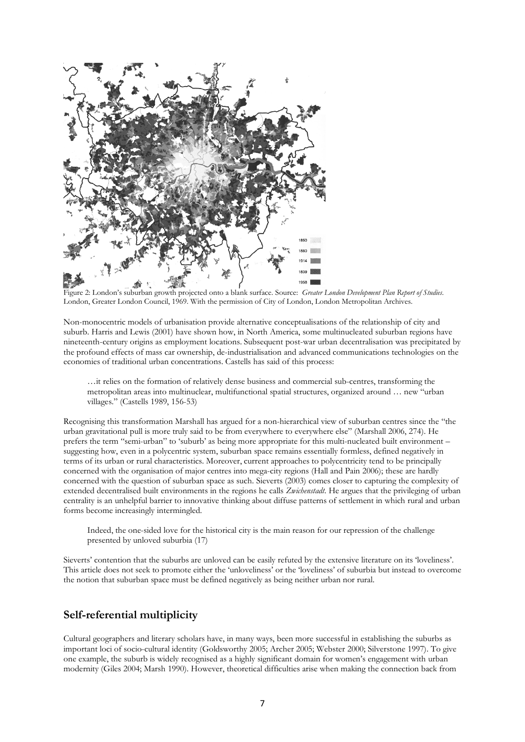

Figure 2: London's suburban growth projected onto a blank surface. Source: *Greater London Development Plan Report of Studies*. London, Greater London Council, 1969. With the permission of City of London, London Metropolitan Archives.

Non-monocentric models of urbanisation provide alternative conceptualisations of the relationship of city and suburb. Harris and Lewis (2001) have shown how, in North America, some multinucleated suburban regions have nineteenth-century origins as employment locations. Subsequent post-war urban decentralisation was precipitated by the profound effects of mass car ownership, de-industrialisation and advanced communications technologies on the economies of traditional urban concentrations. Castells has said of this process:

…it relies on the formation of relatively dense business and commercial sub-centres, transforming the metropolitan areas into multinuclear, multifunctional spatial structures, organized around … new "urban villages." (Castells 1989, 156-53)

Recognising this transformation Marshall has argued for a non-hierarchical view of suburban centres since the "the urban gravitational pull is more truly said to be from everywhere to everywhere else" (Marshall 2006, 274). He prefers the term "semi-urban" to 'suburb' as being more appropriate for this multi-nucleated built environment – suggesting how, even in a polycentric system, suburban space remains essentially formless, defined negatively in terms of its urban or rural characteristics. Moreover, current approaches to polycentricity tend to be principally concerned with the organisation of major centres into mega-city regions (Hall and Pain 2006); these are hardly concerned with the question of suburban space as such. Sieverts (2003) comes closer to capturing the complexity of extended decentralised built environments in the regions he calls *Zwichenstadt*. He argues that the privileging of urban centrality is an unhelpful barrier to innovative thinking about diffuse patterns of settlement in which rural and urban forms become increasingly intermingled.

Indeed, the one-sided love for the historical city is the main reason for our repression of the challenge presented by unloved suburbia (17)

Sieverts' contention that the suburbs are unloved can be easily refuted by the extensive literature on its 'loveliness'. This article does not seek to promote either the 'unloveliness' or the 'loveliness' of suburbia but instead to overcome the notion that suburban space must be defined negatively as being neither urban nor rural.

#### **Self-referential multiplicity**

Cultural geographers and literary scholars have, in many ways, been more successful in establishing the suburbs as important loci of socio-cultural identity (Goldsworthy 2005; Archer 2005; Webster 2000; Silverstone 1997). To give one example, the suburb is widely recognised as a highly significant domain for women's engagement with urban modernity (Giles 2004; Marsh 1990). However, theoretical difficulties arise when making the connection back from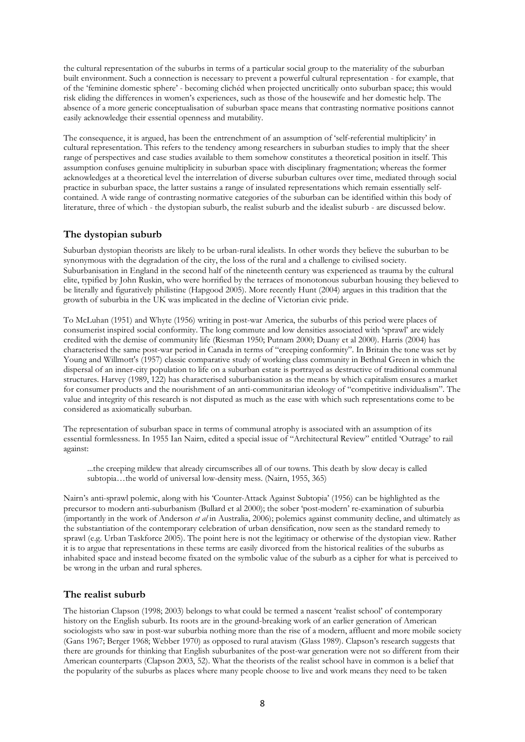the cultural representation of the suburbs in terms of a particular social group to the materiality of the suburban built environment. Such a connection is necessary to prevent a powerful cultural representation - for example, that of the 'feminine domestic sphere' - becoming clichéd when projected uncritically onto suburban space; this would risk eliding the differences in women's experiences, such as those of the housewife and her domestic help. The absence of a more generic conceptualisation of suburban space means that contrasting normative positions cannot easily acknowledge their essential openness and mutability.

The consequence, it is argued, has been the entrenchment of an assumption of 'self-referential multiplicity' in cultural representation. This refers to the tendency among researchers in suburban studies to imply that the sheer range of perspectives and case studies available to them somehow constitutes a theoretical position in itself. This assumption confuses genuine multiplicity in suburban space with disciplinary fragmentation; whereas the former acknowledges at a theoretical level the interrelation of diverse suburban cultures over time, mediated through social practice in suburban space, the latter sustains a range of insulated representations which remain essentially selfcontained. A wide range of contrasting normative categories of the suburban can be identified within this body of literature, three of which - the dystopian suburb, the realist suburb and the idealist suburb - are discussed below.

## **The dystopian suburb**

Suburban dystopian theorists are likely to be urban-rural idealists. In other words they believe the suburban to be synonymous with the degradation of the city, the loss of the rural and a challenge to civilised society. Suburbanisation in England in the second half of the nineteenth century was experienced as trauma by the cultural elite, typified by John Ruskin, who were horrified by the terraces of monotonous suburban housing they believed to be literally and figuratively philistine (Hapgood 2005). More recently Hunt (2004) argues in this tradition that the growth of suburbia in the UK was implicated in the decline of Victorian civic pride.

To McLuhan (1951) and Whyte (1956) writing in post-war America, the suburbs of this period were places of consumerist inspired social conformity. The long commute and low densities associated with 'sprawl' are widely credited with the demise of community life (Riesman 1950; Putnam 2000; Duany et al 2000). Harris (2004) has characterised the same post-war period in Canada in terms of "creeping conformity". In Britain the tone was set by Young and Willmott's (1957) classic comparative study of working class community in Bethnal Green in which the dispersal of an inner-city population to life on a suburban estate is portrayed as destructive of traditional communal structures. Harvey (1989, 122) has characterised suburbanisation as the means by which capitalism ensures a market for consumer products and the nourishment of an anti-communitarian ideology of "competitive individualism". The value and integrity of this research is not disputed as much as the ease with which such representations come to be considered as axiomatically suburban.

The representation of suburban space in terms of communal atrophy is associated with an assumption of its essential formlessness. In 1955 Ian Nairn, edited a special issue of "Architectural Review" entitled 'Outrage' to rail against:

...the creeping mildew that already circumscribes all of our towns. This death by slow decay is called subtopia…the world of universal low-density mess. (Nairn, 1955, 365)

Nairn's anti-sprawl polemic, along with his 'Counter-Attack Against Subtopia' (1956) can be highlighted as the precursor to modern anti-suburbanism (Bullard et al 2000); the sober 'post-modern' re-examination of suburbia (importantly in the work of Anderson *et al* in Australia, 2006); polemics against community decline, and ultimately as the substantiation of the contemporary celebration of urban densification, now seen as the standard remedy to sprawl (e.g. Urban Taskforce 2005). The point here is not the legitimacy or otherwise of the dystopian view. Rather it is to argue that representations in these terms are easily divorced from the historical realities of the suburbs as inhabited space and instead become fixated on the symbolic value of the suburb as a cipher for what is perceived to be wrong in the urban and rural spheres.

## **The realist suburb**

The historian Clapson (1998; 2003) belongs to what could be termed a nascent 'realist school' of contemporary history on the English suburb. Its roots are in the ground-breaking work of an earlier generation of American sociologists who saw in post-war suburbia nothing more than the rise of a modern, affluent and more mobile society (Gans 1967; Berger 1968; Webber 1970) as opposed to rural atavism (Glass 1989). Clapson's research suggests that there are grounds for thinking that English suburbanites of the post-war generation were not so different from their American counterparts (Clapson 2003, 52). What the theorists of the realist school have in common is a belief that the popularity of the suburbs as places where many people choose to live and work means they need to be taken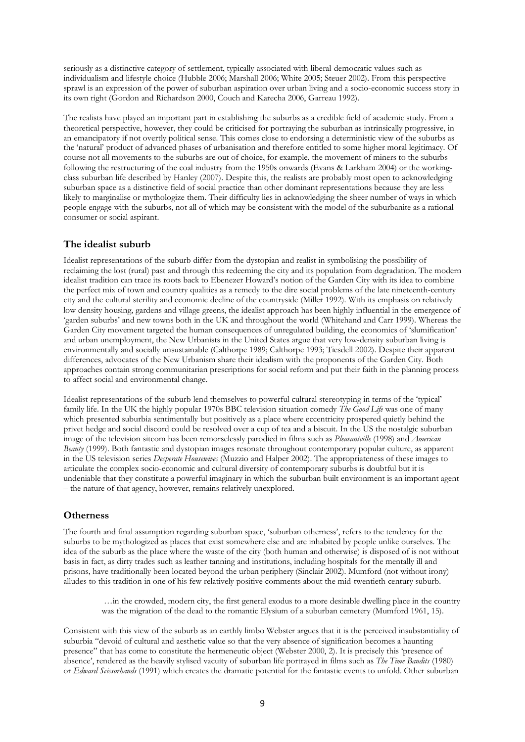seriously as a distinctive category of settlement, typically associated with liberal-democratic values such as individualism and lifestyle choice (Hubble 2006; Marshall 2006; White 2005; Steuer 2002). From this perspective sprawl is an expression of the power of suburban aspiration over urban living and a socio-economic success story in its own right (Gordon and Richardson 2000, Couch and Karecha 2006, Garreau 1992).

The realists have played an important part in establishing the suburbs as a credible field of academic study. From a theoretical perspective, however, they could be criticised for portraying the suburban as intrinsically progressive, in an emancipatory if not overtly political sense. This comes close to endorsing a deterministic view of the suburbs as the 'natural' product of advanced phases of urbanisation and therefore entitled to some higher moral legitimacy. Of course not all movements to the suburbs are out of choice, for example, the movement of miners to the suburbs following the restructuring of the coal industry from the 1950s onwards (Evans & Larkham 2004) or the workingclass suburban life described by Hanley (2007). Despite this, the realists are probably most open to acknowledging suburban space as a distinctive field of social practice than other dominant representations because they are less likely to marginalise or mythologize them. Their difficulty lies in acknowledging the sheer number of ways in which people engage with the suburbs, not all of which may be consistent with the model of the suburbanite as a rational consumer or social aspirant.

#### **The idealist suburb**

Idealist representations of the suburb differ from the dystopian and realist in symbolising the possibility of reclaiming the lost (rural) past and through this redeeming the city and its population from degradation. The modern idealist tradition can trace its roots back to Ebenezer Howard's notion of the Garden City with its idea to combine the perfect mix of town and country qualities as a remedy to the dire social problems of the late nineteenth-century city and the cultural sterility and economic decline of the countryside (Miller 1992). With its emphasis on relatively low density housing, gardens and village greens, the idealist approach has been highly influential in the emergence of 'garden suburbs' and new towns both in the UK and throughout the world (Whitehand and Carr 1999). Whereas the Garden City movement targeted the human consequences of unregulated building, the economics of 'slumification' and urban unemployment, the New Urbanists in the United States argue that very low-density suburban living is environmentally and socially unsustainable (Calthorpe 1989; Calthorpe 1993; Tiesdell 2002). Despite their apparent differences, advocates of the New Urbanism share their idealism with the proponents of the Garden City. Both approaches contain strong communitarian prescriptions for social reform and put their faith in the planning process to affect social and environmental change.

Idealist representations of the suburb lend themselves to powerful cultural stereotyping in terms of the 'typical' family life. In the UK the highly popular 1970s BBC television situation comedy *The Good Life* was one of many which presented suburbia sentimentally but positively as a place where eccentricity prospered quietly behind the privet hedge and social discord could be resolved over a cup of tea and a biscuit. In the US the nostalgic suburban image of the television sitcom has been remorselessly parodied in films such as *Pleasantville* (1998) and *American Beauty* (1999). Both fantastic and dystopian images resonate throughout contemporary popular culture, as apparent in the US television series *Desperate Housewives* (Muzzio and Halper 2002). The appropriateness of these images to articulate the complex socio-economic and cultural diversity of contemporary suburbs is doubtful but it is undeniable that they constitute a powerful imaginary in which the suburban built environment is an important agent – the nature of that agency, however, remains relatively unexplored.

#### **Otherness**

The fourth and final assumption regarding suburban space, 'suburban otherness', refers to the tendency for the suburbs to be mythologized as places that exist somewhere else and are inhabited by people unlike ourselves. The idea of the suburb as the place where the waste of the city (both human and otherwise) is disposed of is not without basis in fact, as dirty trades such as leather tanning and institutions, including hospitals for the mentally ill and prisons, have traditionally been located beyond the urban periphery (Sinclair 2002). Mumford (not without irony) alludes to this tradition in one of his few relatively positive comments about the mid-twentieth century suburb.

…in the crowded, modern city, the first general exodus to a more desirable dwelling place in the country was the migration of the dead to the romantic Elysium of a suburban cemetery (Mumford 1961, 15).

Consistent with this view of the suburb as an earthly limbo Webster argues that it is the perceived insubstantiality of suburbia "devoid of cultural and aesthetic value so that the very absence of signification becomes a haunting presence" that has come to constitute the hermeneutic object (Webster 2000, 2). It is precisely this 'presence of absence', rendered as the heavily stylised vacuity of suburban life portrayed in films such as *The Time Bandits* (1980) or *Edward Scissorhands* (1991) which creates the dramatic potential for the fantastic events to unfold. Other suburban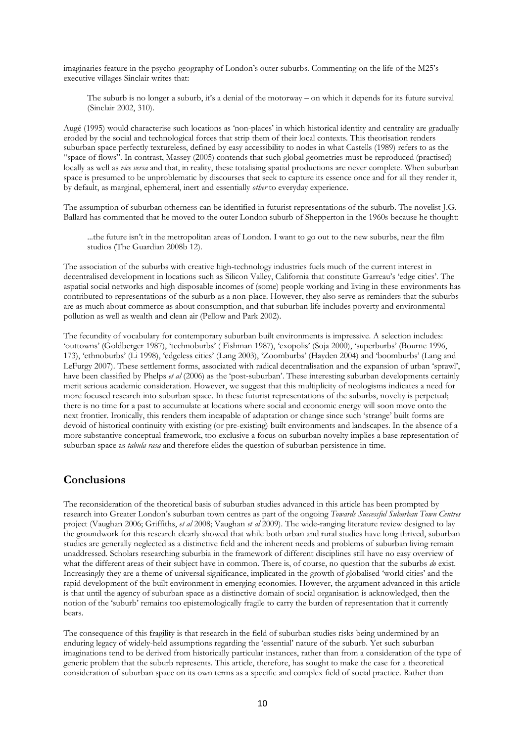imaginaries feature in the psycho-geography of London's outer suburbs. Commenting on the life of the M25's executive villages Sinclair writes that:

The suburb is no longer a suburb, it's a denial of the motorway – on which it depends for its future survival (Sinclair 2002, 310).

Augé (1995) would characterise such locations as 'non-places' in which historical identity and centrality are gradually eroded by the social and technological forces that strip them of their local contexts. This theorisation renders suburban space perfectly textureless, defined by easy accessibility to nodes in what Castells (1989) refers to as the "space of flows". In contrast, Massey (2005) contends that such global geometries must be reproduced (practised) locally as well as *vice versa* and that, in reality, these totalising spatial productions are never complete. When suburban space is presumed to be unproblematic by discourses that seek to capture its essence once and for all they render it, by default, as marginal, ephemeral, inert and essentially *other* to everyday experience.

The assumption of suburban otherness can be identified in futurist representations of the suburb. The novelist J.G. Ballard has commented that he moved to the outer London suburb of Shepperton in the 1960s because he thought:

...the future isn't in the metropolitan areas of London. I want to go out to the new suburbs, near the film studios (The Guardian 2008b 12).

The association of the suburbs with creative high-technology industries fuels much of the current interest in decentralised development in locations such as Silicon Valley, California that constitute Garreau's 'edge cities'. The aspatial social networks and high disposable incomes of (some) people working and living in these environments has contributed to representations of the suburb as a non-place. However, they also serve as reminders that the suburbs are as much about commerce as about consumption, and that suburban life includes poverty and environmental pollution as well as wealth and clean air (Pellow and Park 2002).

The fecundity of vocabulary for contemporary suburban built environments is impressive. A selection includes: 'outtowns' (Goldberger 1987), 'technoburbs' ( Fishman 1987), 'exopolis' (Soja 2000), 'superburbs' (Bourne 1996, 173), 'ethnoburbs' (Li 1998), 'edgeless cities' (Lang 2003), 'Zoomburbs' (Hayden 2004) and 'boomburbs' (Lang and LeFurgy 2007). These settlement forms, associated with radical decentralisation and the expansion of urban 'sprawl', have been classified by Phelps *et al* (2006) as the 'post-suburban'. These interesting suburban developments certainly merit serious academic consideration. However, we suggest that this multiplicity of neologisms indicates a need for more focused research into suburban space. In these futurist representations of the suburbs, novelty is perpetual; there is no time for a past to accumulate at locations where social and economic energy will soon move onto the next frontier. Ironically, this renders them incapable of adaptation or change since such 'strange' built forms are devoid of historical continuity with existing (or pre-existing) built environments and landscapes. In the absence of a more substantive conceptual framework, too exclusive a focus on suburban novelty implies a base representation of suburban space as *tabula rasa* and therefore elides the question of suburban persistence in time.

# **Conclusions**

The reconsideration of the theoretical basis of suburban studies advanced in this article has been prompted by research into Greater London's suburban town centres as part of the ongoing *Towards Successful Suburban Town Centres* project (Vaughan 2006; Griffiths, *et al* 2008; Vaughan *et al* 2009). The wide-ranging literature review designed to lay the groundwork for this research clearly showed that while both urban and rural studies have long thrived, suburban studies are generally neglected as a distinctive field and the inherent needs and problems of suburban living remain unaddressed. Scholars researching suburbia in the framework of different disciplines still have no easy overview of what the different areas of their subject have in common. There is, of course, no question that the suburbs *do* exist. Increasingly they are a theme of universal significance, implicated in the growth of globalised 'world cities' and the rapid development of the built environment in emerging economies. However, the argument advanced in this article is that until the agency of suburban space as a distinctive domain of social organisation is acknowledged, then the notion of the 'suburb' remains too epistemologically fragile to carry the burden of representation that it currently bears.

The consequence of this fragility is that research in the field of suburban studies risks being undermined by an enduring legacy of widely-held assumptions regarding the 'essential' nature of the suburb. Yet such suburban imaginations tend to be derived from historically particular instances, rather than from a consideration of the type of generic problem that the suburb represents. This article, therefore, has sought to make the case for a theoretical consideration of suburban space on its own terms as a specific and complex field of social practice. Rather than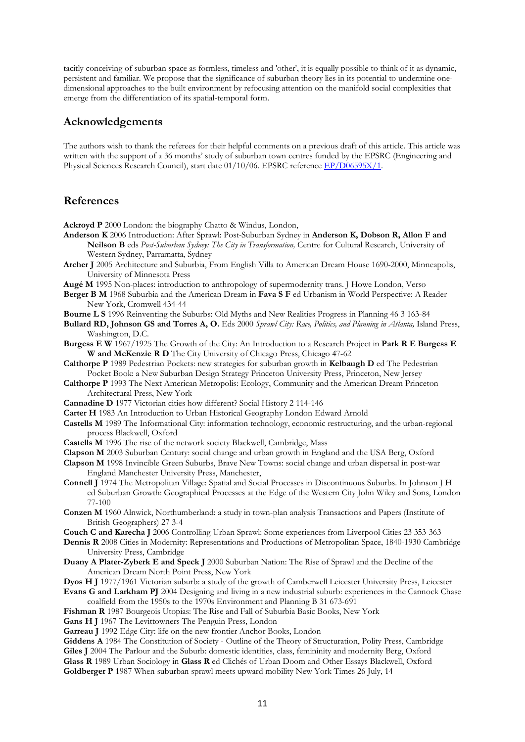tacitly conceiving of suburban space as formless, timeless and 'other', it is equally possible to think of it as dynamic, persistent and familiar. We propose that the significance of suburban theory lies in its potential to undermine onedimensional approaches to the built environment by refocusing attention on the manifold social complexities that emerge from the differentiation of its spatial-temporal form.

## **Acknowledgements**

The authors wish to thank the referees for their helpful comments on a previous draft of this article. This article was written with the support of a 36 months' study of suburban town centres funded by the EPSRC (Engineering and Physical Sciences Research Council), start date 01/10/06. EPSRC reference [EP/D06595X/1.](http://gow.epsrc.ac.uk/ViewGrant.aspx?GrantRef=EP/D06595X/1) 

### **References**

**Ackroyd P** 2000 London: the biography Chatto & Windus, London,

- **Anderson K** 2006 Introduction: After Sprawl: Post-Suburban Sydney in **Anderson K, Dobson R, Allon F and Neilson B** eds *Post-Suburban Sydney: The City in Transformation,* Centre for Cultural Research, University of Western Sydney, Parramatta, Sydney
- **Archer J** 2005 Architecture and Suburbia, From English Villa to American Dream House 1690-2000, Minneapolis, University of Minnesota Press
- **Augé M** 1995 Non-places: introduction to anthropology of supermodernity trans. J Howe London, Verso
- **Berger B M** 1968 Suburbia and the American Dream in **Fava S F** ed Urbanism in World Perspective: A Reader New York, Cromwell 434-44
- **Bourne L S** 1996 Reinventing the Suburbs: Old Myths and New Realities Progress in Planning 46 3 163-84
- **Bullard RD, Johnson GS and Torres A, O.** Eds 2000 *Sprawl City: Race, Politics, and Planning in Atlanta,* Island Press, Washington, D.C.
- **Burgess E W** 1967/1925 The Growth of the City: An Introduction to a Research Project in **Park R E Burgess E W and McKenzie R D** The City University of Chicago Press, Chicago 47-62
- **Calthorpe P** 1989 Pedestrian Pockets: new strategies for suburban growth in **Kelbaugh D** ed The Pedestrian Pocket Book: a New Suburban Design Strategy Princeton University Press, Princeton, New Jersey
- **Calthorpe P** 1993 The Next American Metropolis: Ecology, Community and the American Dream Princeton Architectural Press, New York
- **Cannadine D** 1977 Victorian cities how different? Social History 2 114-146
- **Carter H** 1983 An Introduction to Urban Historical Geography London Edward Arnold
- **Castells M** 1989 The Informational City: information technology, economic restructuring, and the urban-regional process Blackwell, Oxford
- **Castells M** 1996 The rise of the network society Blackwell, Cambridge, Mass
- **Clapson M** 2003 Suburban Century: social change and urban growth in England and the USA Berg, Oxford
- **Clapson M** 1998 Invincible Green Suburbs, Brave New Towns: social change and urban dispersal in post-war England Manchester University Press, Manchester,
- **Connell J** 1974 The Metropolitan Village: Spatial and Social Processes in Discontinuous Suburbs. In Johnson J H ed Suburban Growth: Geographical Processes at the Edge of the Western City John Wiley and Sons, London 77-100
- **Conzen M** 1960 Alnwick, Northumberland: a study in town-plan analysis Transactions and Papers (Institute of British Geographers) 27 3-4
- **Couch C and Karecha J** 2006 Controlling Urban Sprawl: Some experiences from Liverpool Cities 23 353-363
- **Dennis R** 2008 Cities in Modernity: Representations and Productions of Metropolitan Space, 1840-1930 Cambridge University Press, Cambridge
- **Duany A Plater-Zyberk E and Speck J** 2000 Suburban Nation: The Rise of Sprawl and the Decline of the American Dream North Point Press, New York
- **Dyos H J** 1977/1961 Victorian suburb: a study of the growth of Camberwell Leicester University Press, Leicester **Evans G and Larkham PJ** 2004 Designing and living in a new industrial suburb: experiences in the Cannock Chase coalfield from the 1950s to the 1970s Environment and Planning B 31 673-691
- **Fishman R** 1987 Bourgeois Utopias: The Rise and Fall of Suburbia Basic Books, New York
- **Gans H J** 1967 The Levittowners The Penguin Press, London
- **Garreau J** 1992 Edge City: life on the new frontier Anchor Books, London

**Giddens A** 1984 The Constitution of Society - Outline of the Theory of Structuration, Polity Press, Cambridge **Giles J** 2004 The Parlour and the Suburb: domestic identities, class, femininity and modernity Berg, Oxford **Glass R** 1989 Urban Sociology in **Glass R** ed Clichés of Urban Doom and Other Essays Blackwell, Oxford **Goldberger P** 1987 When suburban sprawl meets upward mobility New York Times 26 July, 14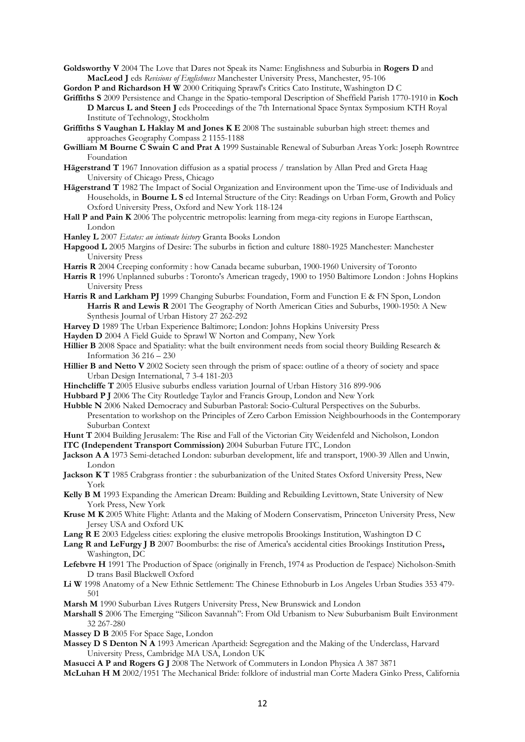- **Goldsworthy V** 2004 The Love that Dares not Speak its Name: Englishness and Suburbia in **Rogers D** and **MacLeod J** eds *Revisions of Englishness* Manchester University Press, Manchester, 95-106
- **Gordon P and Richardson H W** 2000 Critiquing Sprawl's Critics Cato Institute, Washington D C
- **Griffiths S** 2009 Persistence and Change in the Spatio-temporal Description of Sheffield Parish 1770-1910 in **Koch D Marcus L and Steen J** eds Proceedings of the 7th International Space Syntax Symposium KTH Royal Institute of Technology, Stockholm
- **Griffiths S Vaughan L Haklay M and Jones K E** 2008 The sustainable suburban high street: themes and approaches Geography Compass 2 1155-1188
- **Gwilliam M Bourne C Swain C and Prat A** 1999 Sustainable Renewal of Suburban Areas York: Joseph Rowntree Foundation
- **Hägerstrand T** 1967 Innovation diffusion as a spatial process / translation by Allan Pred and Greta Haag University of Chicago Press, Chicago
- **Hägerstrand T** 1982 The Impact of Social Organization and Environment upon the Time-use of Individuals and Households, in **Bourne L S** ed Internal Structure of the City: Readings on Urban Form, Growth and Policy Oxford University Press, Oxford and New York 118-124
- **Hall P and Pain K** 2006 The polycentric metropolis: learning from mega-city regions in Europe Earthscan, London
- **Hanley L** 2007 *Estates: an intimate history* Granta Books London
- **Hapgood L** 2005 Margins of Desire: The suburbs in fiction and culture 1880-1925 Manchester: Manchester University Press
- **Harris R** 2004 Creeping conformity : how Canada became suburban, 1900-1960 University of Toronto
- **Harris R** 1996 Unplanned suburbs : Toronto's American tragedy, 1900 to 1950 Baltimore London : Johns Hopkins University Press
- **Harris R and Larkham PJ** 1999 Changing Suburbs: Foundation, Form and Function E & FN Spon, London **Harris R and Lewis R** 2001 The Geography of North American Cities and Suburbs, 1900-1950: A New Synthesis Journal of Urban History 27 262-292
- **Harvey D** 1989 The Urban Experience Baltimore; London: Johns Hopkins University Press
- **Hayden D** 2004 A Field Guide to Sprawl W Norton and Company, New York
- **Hillier B** 2008 Space and Spatiality: what the built environment needs from social theory Building Research & Information 36 216 – 230
- **Hillier B and Netto V** 2002 Society seen through the prism of space: outline of a theory of society and space Urban Design International, 7 3-4 181-203
- **Hinchcliffe T** 2005 Elusive suburbs endless variation Journal of Urban History 316 899-906
- **Hubbard P J** 2006 The City Routledge Taylor and Francis Group, London and New York
- **Hubble N** 2006 Naked Democracy and Suburban Pastoral: Socio-Cultural Perspectives on the Suburbs. Presentation to workshop on the Principles of Zero Carbon Emission Neighbourhoods in the Contemporary Suburban Context
- **Hunt T** 2004 Building Jerusalem: The Rise and Fall of the Victorian City Weidenfeld and Nicholson, London
- **ITC (Independent Transport Commission)** 2004 Suburban Future ITC, London
- **Jackson A A** 1973 Semi-detached London: suburban development, life and transport, 1900-39 Allen and Unwin, London
- **Jackson K T** 1985 Crabgrass frontier : the suburbanization of the United States Oxford University Press, New York
- **Kelly B M** 1993 Expanding the American Dream: Building and Rebuilding Levittown, State University of New York Press, New York
- **Kruse M K** 2005 White Flight: Atlanta and the Making of Modern Conservatism, Princeton University Press, New Jersey USA and Oxford UK
- **Lang R E** 2003 Edgeless cities: exploring the elusive metropolis Brookings Institution, Washington D C
- **Lang R and LeFurgy J B** 2007 Boomburbs: the rise of America's accidental cities Brookings Institution Press**,**  Washington, DC
- **Lefebvre H** 1991 The Production of Space (originally in French, 1974 as Production de l'espace) Nicholson-Smith D trans Basil Blackwell Oxford
- **Li W** 1998 Anatomy of a New Ethnic Settlement: The Chinese Ethnoburb in Los Angeles Urban Studies 353 479- 501
- **Marsh M** 1990 Suburban Lives Rutgers University Press, New Brunswick and London
- **Marshall S** 2006 The Emerging "Silicon Savannah": From Old Urbanism to New Suburbanism Built Environment 32 267-280
- **Massey D B** 2005 For Space Sage, London
- **Massey D S Denton N A** 1993 American Apartheid: Segregation and the Making of the Underclass, Harvard University Press, Cambridge MA USA, London UK
- **Masucci A P and Rogers G J** 2008 The Network of Commuters in London Physica A 387 3871
- **McLuhan H M** 2002/1951 The Mechanical Bride: folklore of industrial man Corte Madera Ginko Press, California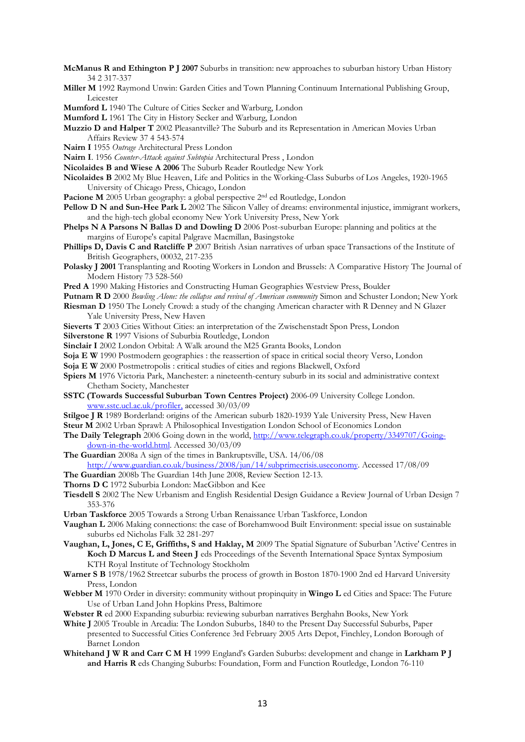- **McManus R and Ethington P J 2007** Suburbs in transition: new approaches to suburban history Urban History 34 2 317-337
- **Miller M** 1992 Raymond Unwin: Garden Cities and Town Planning Continuum International Publishing Group, Leicester
- **Mumford L** 1940 The Culture of Cities Secker and Warburg, London
- **Mumford L** 1961 The City in History Secker and Warburg, London

**Muzzio D and Halper T** 2002 Pleasantville? The Suburb and its Representation in American Movies Urban Affairs Review 37 4 543-574

**Nairn I** 1955 *Outrage* Architectural Press London

**Nairn I**. 1956 *Counter-Attack against Subtopia* Architectural Press , London

- **Nicolaides B and Wiese A 2006** The Suburb Reader Routledge New York
- **Nicolaides B** 2002 My Blue Heaven, Life and Politics in the Working-Class Suburbs of Los Angeles, 1920-1965 University of Chicago Press, Chicago, London
- Pacione M 2005 Urban geography: a global perspective 2<sup>nd</sup> ed Routledge, London
- **Pellow D N and Sun-Hee Park L** 2002 The Silicon Valley of dreams: environmental injustice, immigrant workers, and the high-tech global economy New York University Press, New York
- **Phelps N A Parsons N Ballas D and Dowling D** 2006 Post-suburban Europe: planning and politics at the margins of Europe's capital Palgrave Macmillan, Basingstoke
- **Phillips D, Davis C and Ratcliffe P** 2007 British Asian narratives of urban space Transactions of the Institute of British Geographers, 00032, 217-235
- **Polasky J 2001** Transplanting and Rooting Workers in London and Brussels: A Comparative History The Journal of Modern History 73 528-560
- **Pred A** 1990 Making Histories and Constructing Human Geographies Westview Press, Boulder
- **Putnam R D** 2000 *Bowling Alone: the collapse and revival of American community* Simon and Schuster London; New York
- **Riesman D** 1950 The Lonely Crowd: a study of the changing American character with R Denney and N Glazer Yale University Press, New Haven
- **Sieverts T** 2003 Cities Without Cities: an interpretation of the Zwischenstadt Spon Press, London
- **Silverstone R** 1997 Visions of Suburbia Routledge, London
- **Sinclair I** 2002 London Orbital: A Walk around the M25 Granta Books, London
- **Soja E W** 1990 Postmodern geographies : the reassertion of space in critical social theory Verso, London

**Soja E W** 2000 Postmetropolis : critical studies of cities and regions Blackwell, Oxford

- **Spiers M** 1976 Victoria Park, Manchester: a nineteenth-century suburb in its social and administrative context Chetham Society, Manchester
- **SSTC (Towards Successful Suburban Town Centres Project)** 2006-09 University College London. [www.sstc.ucl.ac.uk/profiler,](http://www.sstc.ucl.ac.uk/profiler) accessed 30/03/09
- **Stilgoe J R** 1989 Borderland: origins of the American suburb 1820-1939 Yale University Press, New Haven
- **Steur M** 2002 Urban Sprawl: A Philosophical Investigation London School of Economics London
- **The Daily Telegraph** 2006 Going down in the world, [http://www.telegraph.co.uk/property/3349707/Going](http://www.telegraph.co.uk/property/3349707/Going-down-in-the-world.html)[down-in-the-world.html.](http://www.telegraph.co.uk/property/3349707/Going-down-in-the-world.html) Accessed 30/03/09
- **The Guardian** 2008a A sign of the times in Bankruptsville, USA. 14/06/08 [http://www.guardian.co.uk/business/2008/jun/14/subprimecrisis.useconomy.](http://www.guardian.co.uk/business/2008/jun/14/subprimecrisis.useconomy) Accessed 17/08/09
- **The Guardian** 2008b The Guardian 14th June 2008, Review Section 12-13.
- **Thorns D C** 1972 Suburbia London: MacGibbon and Kee
- **Tiesdell S** 2002 The New Urbanism and English Residential Design Guidance a Review Journal of Urban Design 7 353-376
- **Urban Taskforce** 2005 Towards a Strong Urban Renaissance Urban Taskforce, London
- **Vaughan L** 2006 Making connections: the case of Borehamwood Built Environment: special issue on sustainable suburbs ed Nicholas Falk 32 281-297
- **Vaughan, L, Jones, C E, Griffiths, S and Haklay, M** 2009 The Spatial Signature of Suburban 'Active' Centres in Koch D Marcus L and Steen J eds Proceedings of the Seventh International Space Syntax Symposium KTH Royal Institute of Technology Stockholm
- **Warner S B** 1978/1962 Streetcar suburbs the process of growth in Boston 1870-1900 2nd ed Harvard University Press, London
- **Webber M** 1970 Order in diversity: community without propinquity in **Wingo L** ed Cities and Space: The Future Use of Urban Land John Hopkins Press, Baltimore
- **Webster R** ed 2000 Expanding suburbia: reviewing suburban narratives Berghahn Books, New York
- White J 2005 Trouble in Arcadia: The London Suburbs, 1840 to the Present Day Successful Suburbs, Paper presented to Successful Cities Conference 3rd February 2005 Arts Depot, Finchley, London Borough of Barnet London
- **Whitehand J W R and Carr C M H** 1999 England's Garden Suburbs: development and change in **Larkham P J and Harris R** eds Changing Suburbs: Foundation, Form and Function Routledge, London 76-110